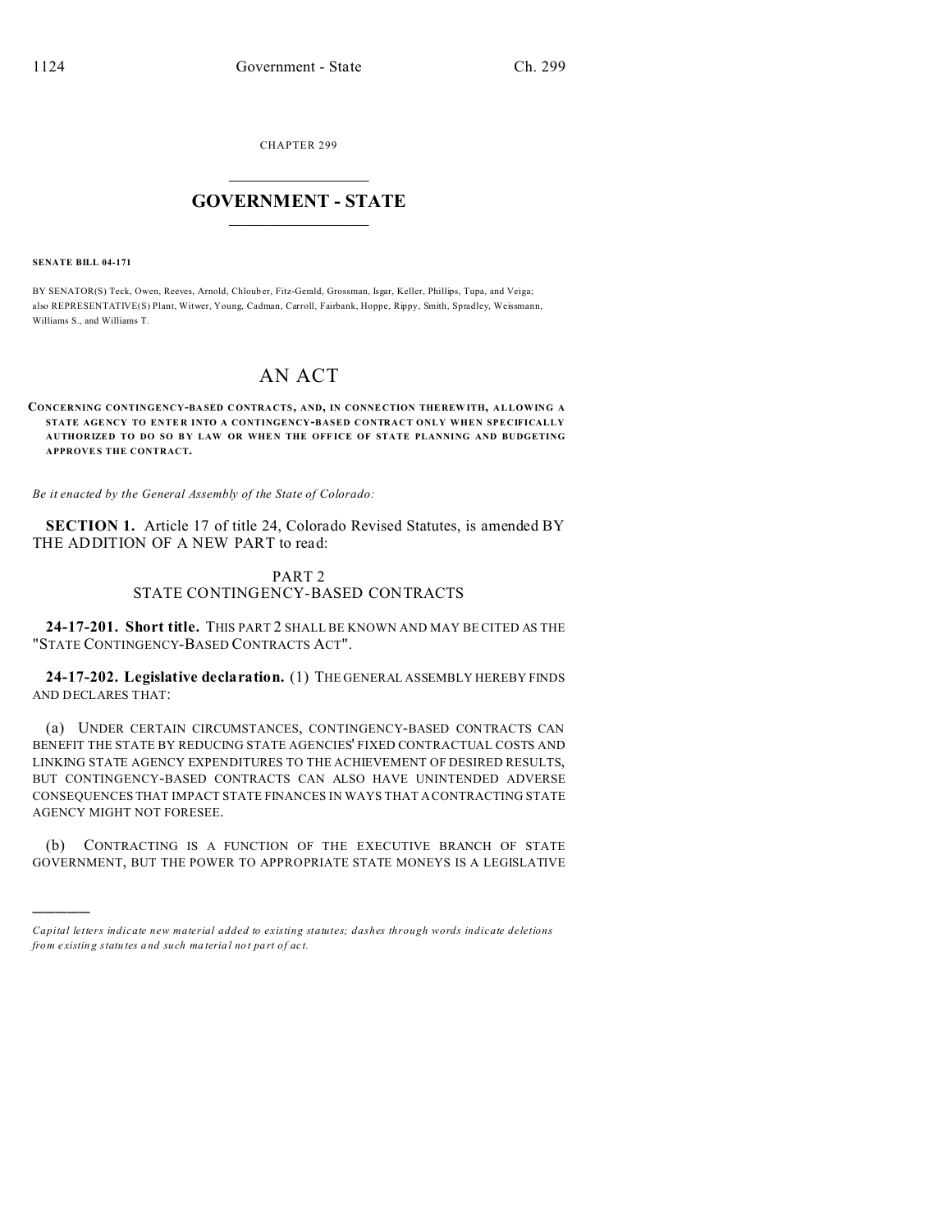CHAPTER 299  $\overline{\phantom{a}}$  , where  $\overline{\phantom{a}}$ 

## **GOVERNMENT - STATE**  $\_$   $\_$

#### **SENATE BILL 04-171**

)))))

BY SENATOR(S) Teck, Owen, Reeves, Arnold, Chlouber, Fitz-Gerald, Grossman, Isgar, Keller, Phillips, Tupa, and Veiga; also REPRESENTATIVE(S) Plant, Witwer, Young, Cadman, Carroll, Fairbank, Hoppe, Rippy, Smith, Spradley, Weissmann, Williams S., and Williams T.

# AN ACT

### **CONCERNING CONTINGENCY-BA SED CONTRA CTS, AND, IN CONNE CTION THE REW ITH, ALLOWING A STATE AGE NCY TO ENTE R INTO A CONTINGENCY-BASED CONTRACT ONLY WHEN SPECIFICALLY AUTHORIZED TO DO SO B Y LAW OR WHE N THE OFF ICE OF STATE PLANNING AND BUDGETING APPROVE S THE CONTRACT.**

*Be it enacted by the General Assembly of the State of Colorado:*

**SECTION 1.** Article 17 of title 24, Colorado Revised Statutes, is amended BY THE ADDITION OF A NEW PART to read:

## PART 2 STATE CONTINGENCY-BASED CONTRACTS

**24-17-201. Short title.** THIS PART 2 SHALL BE KNOWN AND MAY BE CITED AS THE "STATE CONTINGENCY-BASED CONTRACTS ACT".

**24-17-202. Legislative declaration.** (1) THE GENERAL ASSEMBLY HEREBY FINDS AND DECLARES THAT:

(a) UNDER CERTAIN CIRCUMSTANCES, CONTINGENCY-BASED CONTRACTS CAN BENEFIT THE STATE BY REDUCING STATE AGENCIES' FIXED CONTRACTUAL COSTS AND LINKING STATE AGENCY EXPENDITURES TO THE ACHIEVEMENT OF DESIRED RESULTS, BUT CONTINGENCY-BASED CONTRACTS CAN ALSO HAVE UNINTENDED ADVERSE CONSEQUENCES THAT IMPACT STATE FINANCES IN WAYS THAT A CONTRACTING STATE AGENCY MIGHT NOT FORESEE.

(b) CONTRACTING IS A FUNCTION OF THE EXECUTIVE BRANCH OF STATE GOVERNMENT, BUT THE POWER TO APPROPRIATE STATE MONEYS IS A LEGISLATIVE

*Capital letters indicate new material added to existing statutes; dashes through words indicate deletions from e xistin g statu tes a nd such ma teria l no t pa rt of ac t.*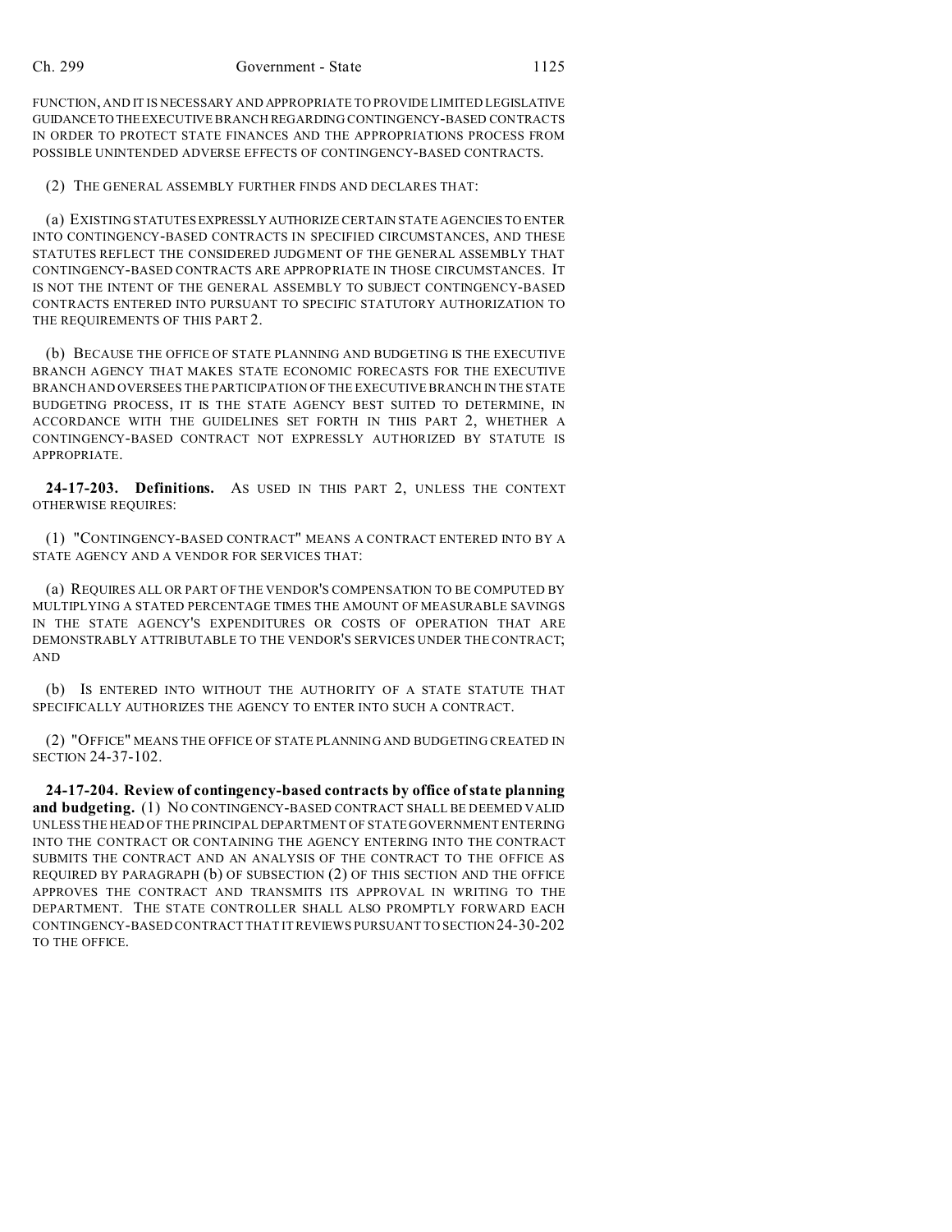FUNCTION, AND IT IS NECESSARY AND APPROPRIATE TO PROVIDE LIMITED LEGISLATIVE GUIDANCETO THEEXECUTIVE BRANCH REGARDING CONTINGENCY-BASED CONTRACTS IN ORDER TO PROTECT STATE FINANCES AND THE APPROPRIATIONS PROCESS FROM POSSIBLE UNINTENDED ADVERSE EFFECTS OF CONTINGENCY-BASED CONTRACTS.

(2) THE GENERAL ASSEMBLY FURTHER FINDS AND DECLARES THAT:

(a) EXISTING STATUTES EXPRESSLY AUTHORIZE CERTAIN STATE AGENCIES TO ENTER INTO CONTINGENCY-BASED CONTRACTS IN SPECIFIED CIRCUMSTANCES, AND THESE STATUTES REFLECT THE CONSIDERED JUDGMENT OF THE GENERAL ASSEMBLY THAT CONTINGENCY-BASED CONTRACTS ARE APPROPRIATE IN THOSE CIRCUMSTANCES. IT IS NOT THE INTENT OF THE GENERAL ASSEMBLY TO SUBJECT CONTINGENCY-BASED CONTRACTS ENTERED INTO PURSUANT TO SPECIFIC STATUTORY AUTHORIZATION TO THE REQUIREMENTS OF THIS PART 2.

(b) BECAUSE THE OFFICE OF STATE PLANNING AND BUDGETING IS THE EXECUTIVE BRANCH AGENCY THAT MAKES STATE ECONOMIC FORECASTS FOR THE EXECUTIVE BRANCH AND OVERSEES THE PARTICIPATION OF THE EXECUTIVE BRANCH IN THE STATE BUDGETING PROCESS, IT IS THE STATE AGENCY BEST SUITED TO DETERMINE, IN ACCORDANCE WITH THE GUIDELINES SET FORTH IN THIS PART 2, WHETHER A CONTINGENCY-BASED CONTRACT NOT EXPRESSLY AUTHORIZED BY STATUTE IS APPROPRIATE.

**24-17-203. Definitions.** AS USED IN THIS PART 2, UNLESS THE CONTEXT OTHERWISE REQUIRES:

(1) "CONTINGENCY-BASED CONTRACT" MEANS A CONTRACT ENTERED INTO BY A STATE AGENCY AND A VENDOR FOR SERVICES THAT:

(a) REQUIRES ALL OR PART OF THE VENDOR'S COMPENSATION TO BE COMPUTED BY MULTIPLYING A STATED PERCENTAGE TIMES THE AMOUNT OF MEASURABLE SAVINGS IN THE STATE AGENCY'S EXPENDITURES OR COSTS OF OPERATION THAT ARE DEMONSTRABLY ATTRIBUTABLE TO THE VENDOR'S SERVICES UNDER THE CONTRACT; AND

(b) IS ENTERED INTO WITHOUT THE AUTHORITY OF A STATE STATUTE THAT SPECIFICALLY AUTHORIZES THE AGENCY TO ENTER INTO SUCH A CONTRACT.

(2) "OFFICE" MEANS THE OFFICE OF STATE PLANNING AND BUDGETING CREATED IN SECTION 24-37-102.

**24-17-204. Review of contingency-based contracts by office of state planning and budgeting.** (1) NO CONTINGENCY-BASED CONTRACT SHALL BE DEEMED VALID UNLESS THE HEAD OF THE PRINCIPAL DEPARTMENT OF STATE GOVERNMENT ENTERING INTO THE CONTRACT OR CONTAINING THE AGENCY ENTERING INTO THE CONTRACT SUBMITS THE CONTRACT AND AN ANALYSIS OF THE CONTRACT TO THE OFFICE AS REQUIRED BY PARAGRAPH (b) OF SUBSECTION (2) OF THIS SECTION AND THE OFFICE APPROVES THE CONTRACT AND TRANSMITS ITS APPROVAL IN WRITING TO THE DEPARTMENT. THE STATE CONTROLLER SHALL ALSO PROMPTLY FORWARD EACH CONTINGENCY-BASED CONTRACT THAT IT REVIEWS PURSUANT TO SECTION24-30-202 TO THE OFFICE.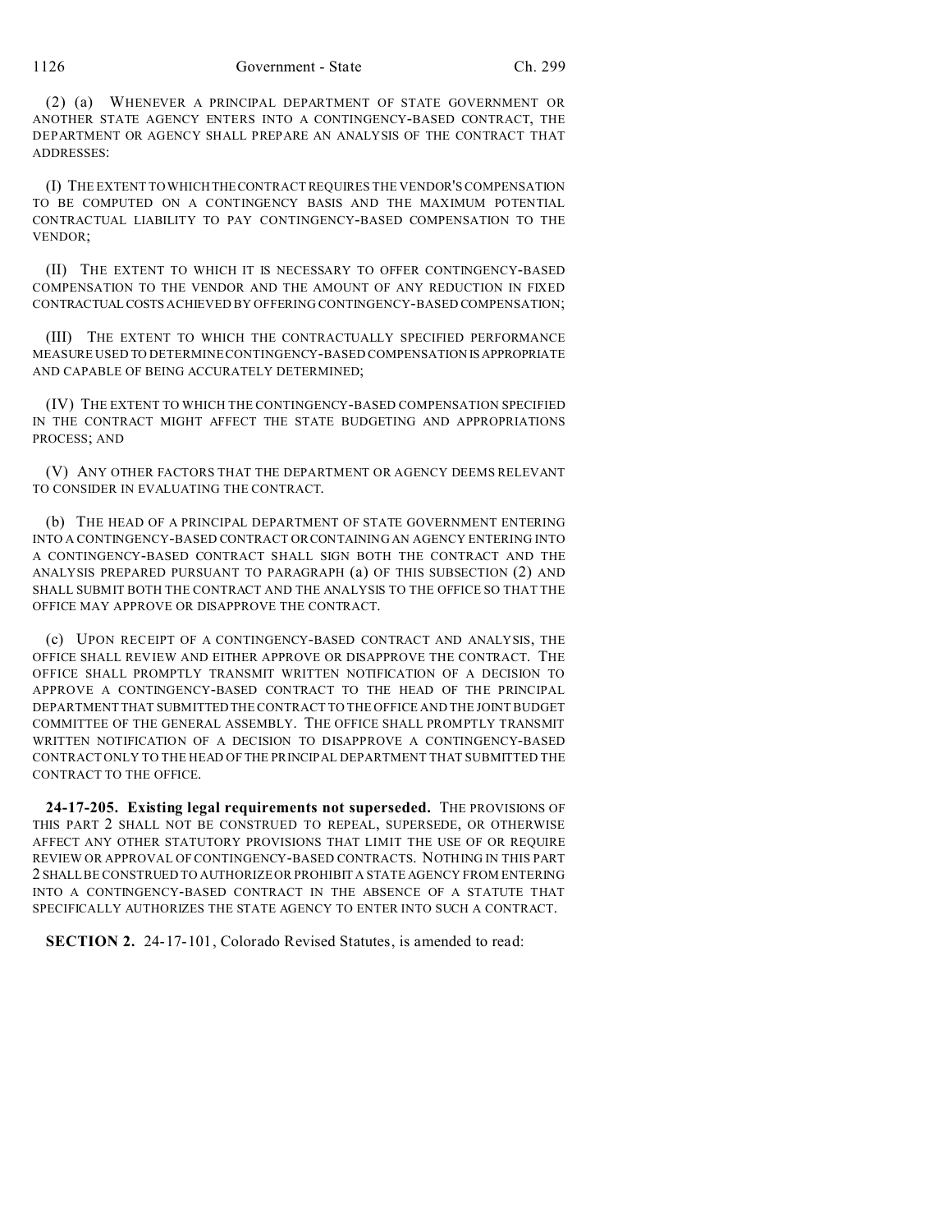(2) (a) WHENEVER A PRINCIPAL DEPARTMENT OF STATE GOVERNMENT OR ANOTHER STATE AGENCY ENTERS INTO A CONTINGENCY-BASED CONTRACT, THE DEPARTMENT OR AGENCY SHALL PREPARE AN ANALYSIS OF THE CONTRACT THAT ADDRESSES:

(I) THE EXTENT TO WHICH THECONTRACT REQUIRES THE VENDOR'S COMPENSATION TO BE COMPUTED ON A CONTINGENCY BASIS AND THE MAXIMUM POTENTIAL CONTRACTUAL LIABILITY TO PAY CONTINGENCY-BASED COMPENSATION TO THE VENDOR;

(II) THE EXTENT TO WHICH IT IS NECESSARY TO OFFER CONTINGENCY-BASED COMPENSATION TO THE VENDOR AND THE AMOUNT OF ANY REDUCTION IN FIXED CONTRACTUALCOSTS ACHIEVED BY OFFERING CONTINGENCY-BASED COMPENSATION;

(III) THE EXTENT TO WHICH THE CONTRACTUALLY SPECIFIED PERFORMANCE MEASURE USED TO DETERMINE CONTINGENCY-BASED COMPENSATION IS APPROPRIATE AND CAPABLE OF BEING ACCURATELY DETERMINED;

(IV) THE EXTENT TO WHICH THE CONTINGENCY-BASED COMPENSATION SPECIFIED IN THE CONTRACT MIGHT AFFECT THE STATE BUDGETING AND APPROPRIATIONS PROCESS; AND

(V) ANY OTHER FACTORS THAT THE DEPARTMENT OR AGENCY DEEMS RELEVANT TO CONSIDER IN EVALUATING THE CONTRACT.

(b) THE HEAD OF A PRINCIPAL DEPARTMENT OF STATE GOVERNMENT ENTERING INTO A CONTINGENCY-BASED CONTRACT OR CONTAINING AN AGENCY ENTERING INTO A CONTINGENCY-BASED CONTRACT SHALL SIGN BOTH THE CONTRACT AND THE ANALYSIS PREPARED PURSUANT TO PARAGRAPH (a) OF THIS SUBSECTION (2) AND SHALL SUBMIT BOTH THE CONTRACT AND THE ANALYSIS TO THE OFFICE SO THAT THE OFFICE MAY APPROVE OR DISAPPROVE THE CONTRACT.

(c) UPON RECEIPT OF A CONTINGENCY-BASED CONTRACT AND ANALYSIS, THE OFFICE SHALL REVIEW AND EITHER APPROVE OR DISAPPROVE THE CONTRACT. THE OFFICE SHALL PROMPTLY TRANSMIT WRITTEN NOTIFICATION OF A DECISION TO APPROVE A CONTINGENCY-BASED CONTRACT TO THE HEAD OF THE PRINCIPAL DEPARTMENT THAT SUBMITTED THE CONTRACT TO THE OFFICE AND THE JOINT BUDGET COMMITTEE OF THE GENERAL ASSEMBLY. THE OFFICE SHALL PROMPTLY TRANSMIT WRITTEN NOTIFICATION OF A DECISION TO DISAPPROVE A CONTINGENCY-BASED CONTRACT ONLY TO THE HEAD OF THE PRINCIPAL DEPARTMENT THAT SUBMITTED THE CONTRACT TO THE OFFICE.

**24-17-205. Existing legal requirements not superseded.** THE PROVISIONS OF THIS PART 2 SHALL NOT BE CONSTRUED TO REPEAL, SUPERSEDE, OR OTHERWISE AFFECT ANY OTHER STATUTORY PROVISIONS THAT LIMIT THE USE OF OR REQUIRE REVIEW OR APPROVAL OF CONTINGENCY-BASED CONTRACTS. NOTHING IN THIS PART 2 SHALL BE CONSTRUED TO AUTHORIZE OR PROHIBIT A STATE AGENCY FROM ENTERING INTO A CONTINGENCY-BASED CONTRACT IN THE ABSENCE OF A STATUTE THAT SPECIFICALLY AUTHORIZES THE STATE AGENCY TO ENTER INTO SUCH A CONTRACT.

**SECTION 2.** 24-17-101, Colorado Revised Statutes, is amended to read: